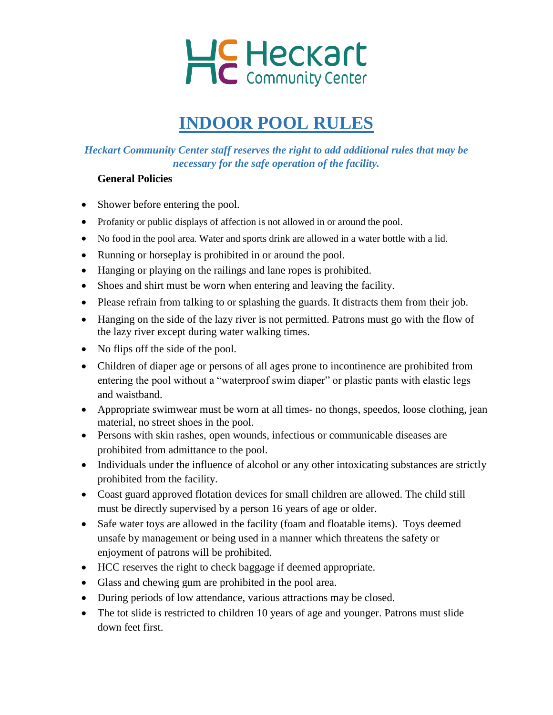

# **INDOOR POOL RULES**

# *Heckart Community Center staff reserves the right to add additional rules that may be necessary for the safe operation of the facility.*

### **General Policies**

- Shower before entering the pool.
- Profanity or public displays of affection is not allowed in or around the pool.
- No food in the pool area. Water and sports drink are allowed in a water bottle with a lid.
- Running or horseplay is prohibited in or around the pool.
- Hanging or playing on the railings and lane ropes is prohibited.
- Shoes and shirt must be worn when entering and leaving the facility.
- Please refrain from talking to or splashing the guards. It distracts them from their job.
- Hanging on the side of the lazy river is not permitted. Patrons must go with the flow of the lazy river except during water walking times.
- No flips off the side of the pool.
- Children of diaper age or persons of all ages prone to incontinence are prohibited from entering the pool without a "waterproof swim diaper" or plastic pants with elastic legs and waistband.
- Appropriate swimwear must be worn at all times- no thongs, speedos, loose clothing, jean material, no street shoes in the pool.
- Persons with skin rashes, open wounds, infectious or communicable diseases are prohibited from admittance to the pool.
- Individuals under the influence of alcohol or any other intoxicating substances are strictly prohibited from the facility.
- Coast guard approved flotation devices for small children are allowed. The child still must be directly supervised by a person 16 years of age or older.
- Safe water toys are allowed in the facility (foam and floatable items). Toys deemed unsafe by management or being used in a manner which threatens the safety or enjoyment of patrons will be prohibited.
- HCC reserves the right to check baggage if deemed appropriate.
- Glass and chewing gum are prohibited in the pool area.
- During periods of low attendance, various attractions may be closed.
- The tot slide is restricted to children 10 years of age and younger. Patrons must slide down feet first.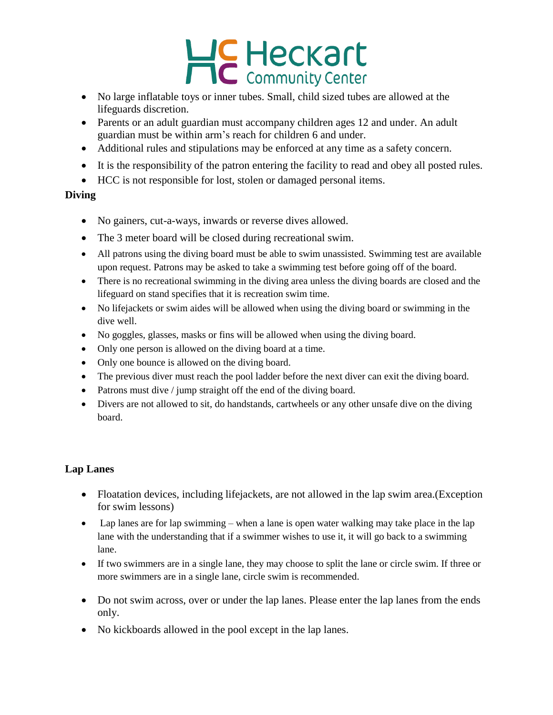# Heckart

- No large inflatable toys or inner tubes. Small, child sized tubes are allowed at the lifeguards discretion.
- Parents or an adult guardian must accompany children ages 12 and under. An adult guardian must be within arm's reach for children 6 and under.
- Additional rules and stipulations may be enforced at any time as a safety concern.
- It is the responsibility of the patron entering the facility to read and obey all posted rules.
- HCC is not responsible for lost, stolen or damaged personal items.

### **Diving**

- No gainers, cut-a-ways, inwards or reverse dives allowed.
- The 3 meter board will be closed during recreational swim.
- All patrons using the diving board must be able to swim unassisted. Swimming test are available upon request. Patrons may be asked to take a swimming test before going off of the board.
- There is no recreational swimming in the diving area unless the diving boards are closed and the lifeguard on stand specifies that it is recreation swim time.
- No lifejackets or swim aides will be allowed when using the diving board or swimming in the dive well.
- No goggles, glasses, masks or fins will be allowed when using the diving board.
- Only one person is allowed on the diving board at a time.
- Only one bounce is allowed on the diving board.
- The previous diver must reach the pool ladder before the next diver can exit the diving board.
- Patrons must dive / jump straight off the end of the diving board.
- Divers are not allowed to sit, do handstands, cartwheels or any other unsafe dive on the diving board.

## **Lap Lanes**

- Floatation devices, including lifejackets, are not allowed in the lap swim area. (Exception for swim lessons)
- Lap lanes are for lap swimming when a lane is open water walking may take place in the lap lane with the understanding that if a swimmer wishes to use it, it will go back to a swimming lane.
- If two swimmers are in a single lane, they may choose to split the lane or circle swim. If three or more swimmers are in a single lane, circle swim is recommended.
- Do not swim across, over or under the lap lanes. Please enter the lap lanes from the ends only.
- No kickboards allowed in the pool except in the lap lanes.